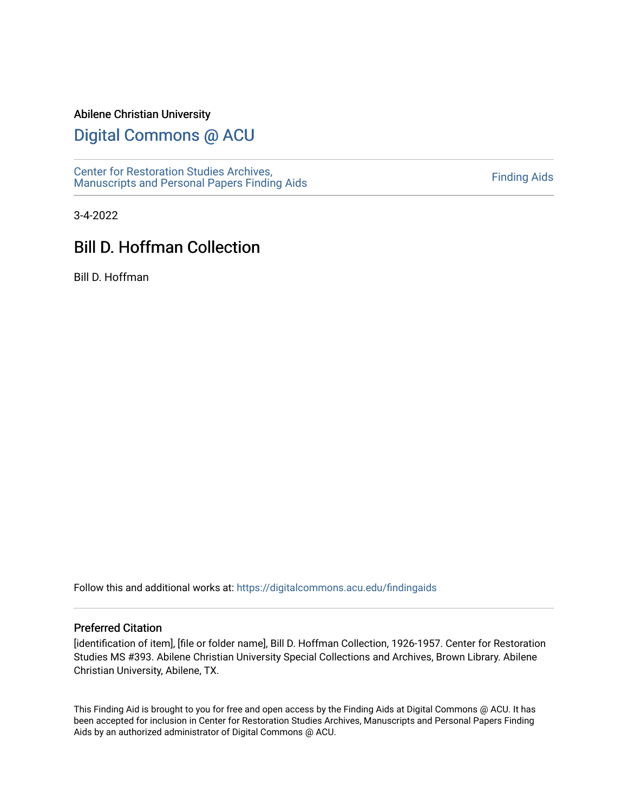#### Abilene Christian University

# [Digital Commons @ ACU](https://digitalcommons.acu.edu/)

[Center for Restoration Studies Archives,](https://digitalcommons.acu.edu/findingaids)  [Manuscripts and Personal Papers Finding Aids](https://digitalcommons.acu.edu/findingaids) [Finding Aids](https://digitalcommons.acu.edu/crs_finding_aids) 

3-4-2022

# Bill D. Hoffman Collection

Bill D. Hoffman

Follow this and additional works at: [https://digitalcommons.acu.edu/findingaids](https://digitalcommons.acu.edu/findingaids?utm_source=digitalcommons.acu.edu%2Ffindingaids%2F678&utm_medium=PDF&utm_campaign=PDFCoverPages)

#### Preferred Citation

[identification of item], [file or folder name], Bill D. Hoffman Collection, 1926-1957. Center for Restoration Studies MS #393. Abilene Christian University Special Collections and Archives, Brown Library. Abilene Christian University, Abilene, TX.

This Finding Aid is brought to you for free and open access by the Finding Aids at Digital Commons @ ACU. It has been accepted for inclusion in Center for Restoration Studies Archives, Manuscripts and Personal Papers Finding Aids by an authorized administrator of Digital Commons @ ACU.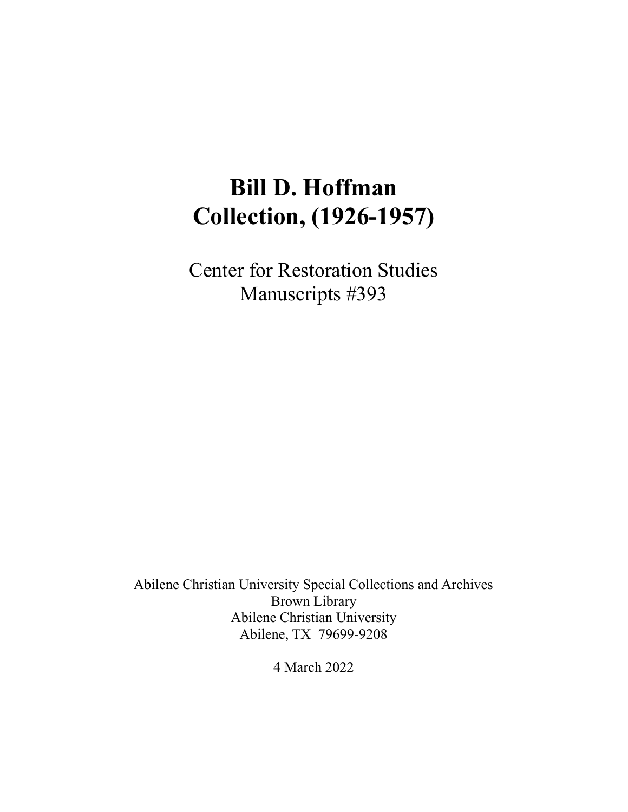# **Bill D. Hoffman Collection, (1926-1957)**

Center for Restoration Studies Manuscripts #393

Abilene Christian University Special Collections and Archives Brown Library Abilene Christian University Abilene, TX 79699-9208

4 March 2022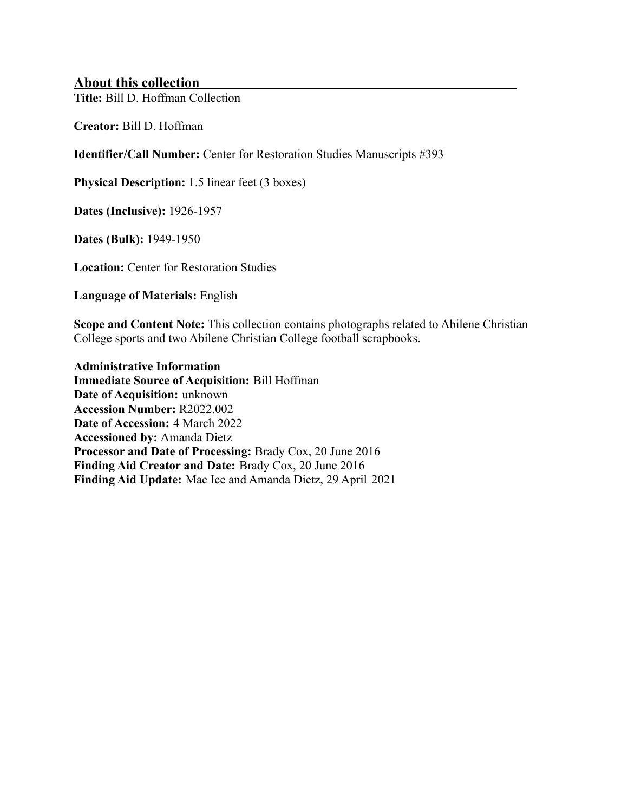# **About this collection**

**Title:** Bill D. Hoffman Collection

**Creator:** Bill D. Hoffman

**Identifier/Call Number:** Center for Restoration Studies Manuscripts #393

**Physical Description:** 1.5 linear feet (3 boxes)

**Dates (Inclusive):** 1926-1957

**Dates (Bulk):** 1949-1950

**Location:** Center for Restoration Studies

**Language of Materials:** English

**Scope and Content Note:** This collection contains photographs related to Abilene Christian College sports and two Abilene Christian College football scrapbooks.

**Administrative Information Immediate Source of Acquisition:** Bill Hoffman **Date of Acquisition:** unknown **Accession Number:** R2022.002 **Date of Accession:** 4 March 2022 **Accessioned by:** Amanda Dietz **Processor and Date of Processing:** Brady Cox, 20 June 2016 **Finding Aid Creator and Date:** Brady Cox, 20 June 2016 **Finding Aid Update:** Mac Ice and Amanda Dietz, 29 April 2021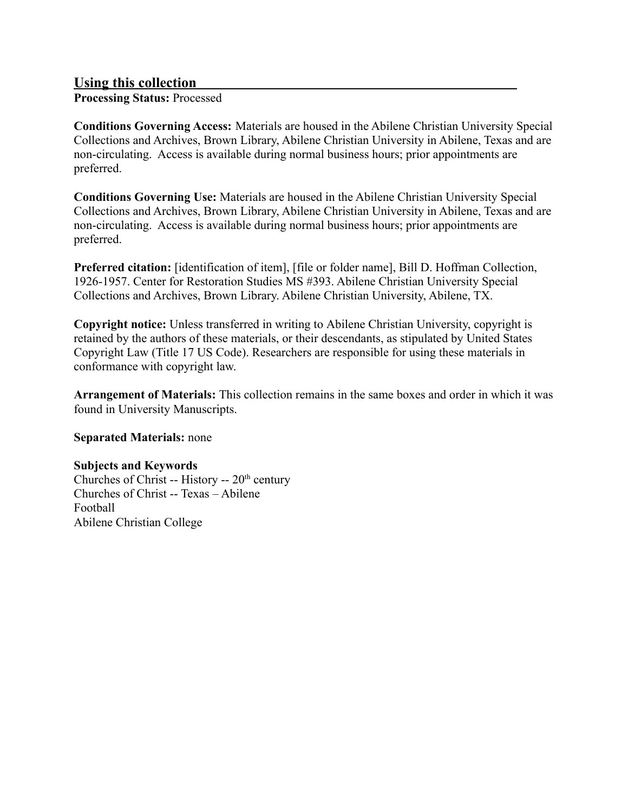# **Using this collection**

**Processing Status:** Processed

**Conditions Governing Access:** Materials are housed in the Abilene Christian University Special Collections and Archives, Brown Library, Abilene Christian University in Abilene, Texas and are non-circulating. Access is available during normal business hours; prior appointments are preferred.

**Conditions Governing Use:** Materials are housed in the Abilene Christian University Special Collections and Archives, Brown Library, Abilene Christian University in Abilene, Texas and are non-circulating. Access is available during normal business hours; prior appointments are preferred.

**Preferred citation:** [identification of item], [file or folder name], Bill D. Hoffman Collection, 1926-1957. Center for Restoration Studies MS #393. Abilene Christian University Special Collections and Archives, Brown Library. Abilene Christian University, Abilene, TX.

**Copyright notice:** Unless transferred in writing to Abilene Christian University, copyright is retained by the authors of these materials, or their descendants, as stipulated by United States Copyright Law (Title 17 US Code). Researchers are responsible for using these materials in conformance with copyright law.

**Arrangement of Materials:** This collection remains in the same boxes and order in which it was found in University Manuscripts.

#### **Separated Materials:** none

#### **Subjects and Keywords**

Churches of Christ -- History --  $20<sup>th</sup>$  century Churches of Christ -- Texas – Abilene Football Abilene Christian College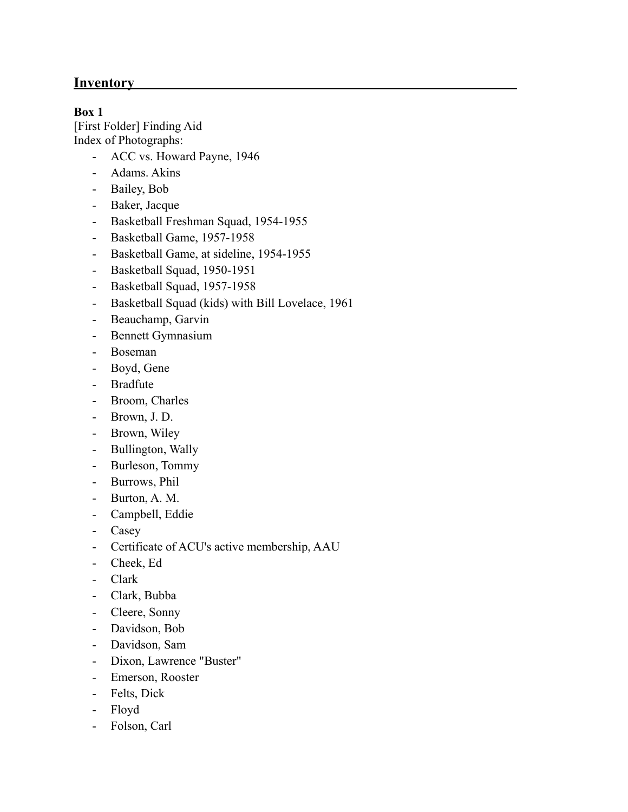# **Inventory**

### **Box 1**

[First Folder] Finding Aid Index of Photographs:

- ACC vs. Howard Payne, 1946
- Adams. Akins
- Bailey, Bob
- Baker, Jacque
- Basketball Freshman Squad, 1954-1955
- Basketball Game, 1957-1958
- Basketball Game, at sideline, 1954-1955
- Basketball Squad, 1950-1951
- Basketball Squad, 1957-1958
- Basketball Squad (kids) with Bill Lovelace, 1961
- Beauchamp, Garvin
- Bennett Gymnasium
- Boseman
- Boyd, Gene
- Bradfute
- Broom, Charles
- Brown, J. D.
- Brown, Wiley
- Bullington, Wally
- Burleson, Tommy
- Burrows, Phil
- Burton, A. M.
- Campbell, Eddie
- Casey
- Certificate of ACU's active membership, AAU
- Cheek, Ed
- Clark
- Clark, Bubba
- Cleere, Sonny
- Davidson, Bob
- Davidson, Sam
- Dixon, Lawrence "Buster"
- Emerson, Rooster
- Felts, Dick
- Floyd
- Folson, Carl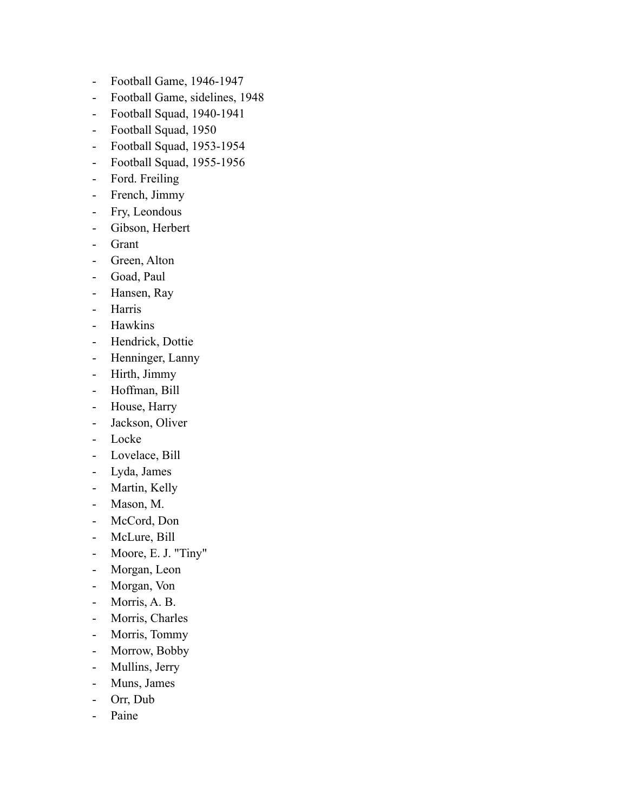- Football Game, 1946-1947
- Football Game, sidelines, 1948
- Football Squad, 1940-1941
- Football Squad, 1950
- Football Squad, 1953-1954
- Football Squad, 1955-1956
- Ford. Freiling
- French, Jimmy
- Fry, Leondous
- Gibson, Herbert
- Grant
- Green, Alton
- Goad, Paul
- Hansen, Ray
- Harris
- Hawkins
- Hendrick, Dottie
- Henninger, Lanny
- Hirth, Jimmy
- Hoffman, Bill
- House, Harry
- Jackson, Oliver
- Locke
- Lovelace, Bill
- Lyda, James
- Martin, Kelly
- Mason, M.
- McCord, Don
- McLure, Bill
- Moore, E. J. "Tiny"
- Morgan, Leon
- Morgan, Von
- Morris, A. B.
- Morris, Charles
- Morris, Tommy
- Morrow, Bobby
- Mullins, Jerry
- Muns, James
- Orr, Dub
- Paine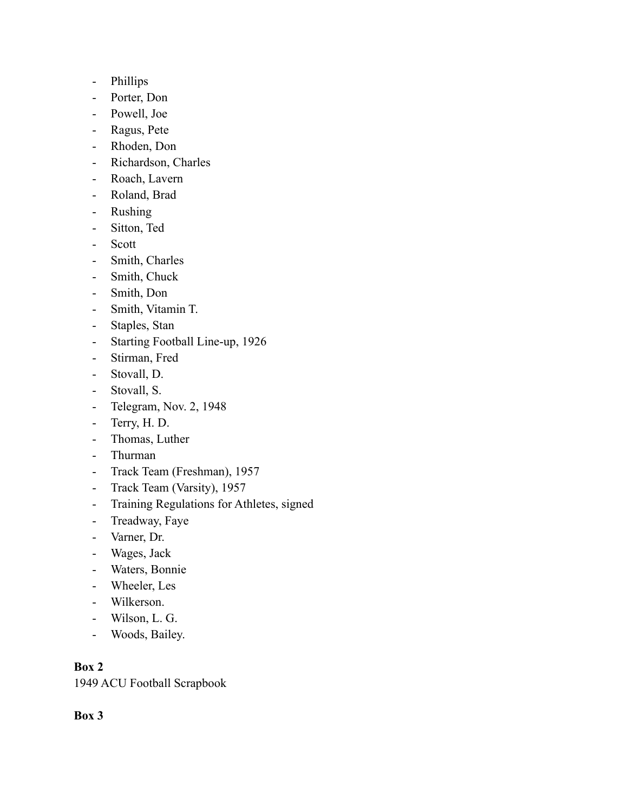- Phillips
- Porter, Don
- Powell, Joe
- Ragus, Pete
- Rhoden, Don
- Richardson, Charles
- Roach, Lavern
- Roland, Brad
- Rushing
- Sitton, Ted
- Scott
- Smith, Charles
- Smith, Chuck
- Smith, Don
- Smith, Vitamin T.
- Staples, Stan
- Starting Football Line-up, 1926
- Stirman, Fred
- Stovall, D.
- Stovall, S.
- Telegram, Nov. 2, 1948
- Terry, H. D.
- Thomas, Luther
- Thurman
- Track Team (Freshman), 1957
- Track Team (Varsity), 1957
- Training Regulations for Athletes, signed
- Treadway, Faye
- Varner, Dr.
- Wages, Jack
- Waters, Bonnie
- Wheeler, Les
- Wilkerson.
- Wilson, L. G.
- Woods, Bailey.

# **Box 2**

1949 ACU Football Scrapbook

# **Box 3**